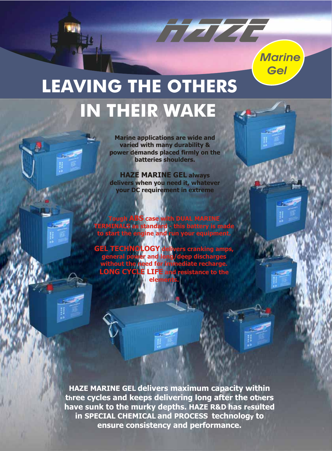

## **IN THEIR WAKE LEAVING THE OTHERS**

**Marine applications are wide and varied with many durability & power demands placed firmly on the batteries shoulders.** 

TE ELE

**HAZE MARINE GEL always delivers when you need it, whatever your DC requirement in extreme** 

**gh ABS case with DUAL MARINE TERMINALS as standard - this battery is made to start the engine and run your equipment.** 

**TECHNOLOGY d general without the need for immediate recharge. LONG CYCLE LIFE and resistance to the eler** 

**HAZE MARINE GEL delivers maximum capacity within three cycles and keeps delivering long after the others have sunk to the murky depths. HAZE R&D has resulted in SPECIAL CHEMICAL and PROCESS technology to ensure consistency and performance.**